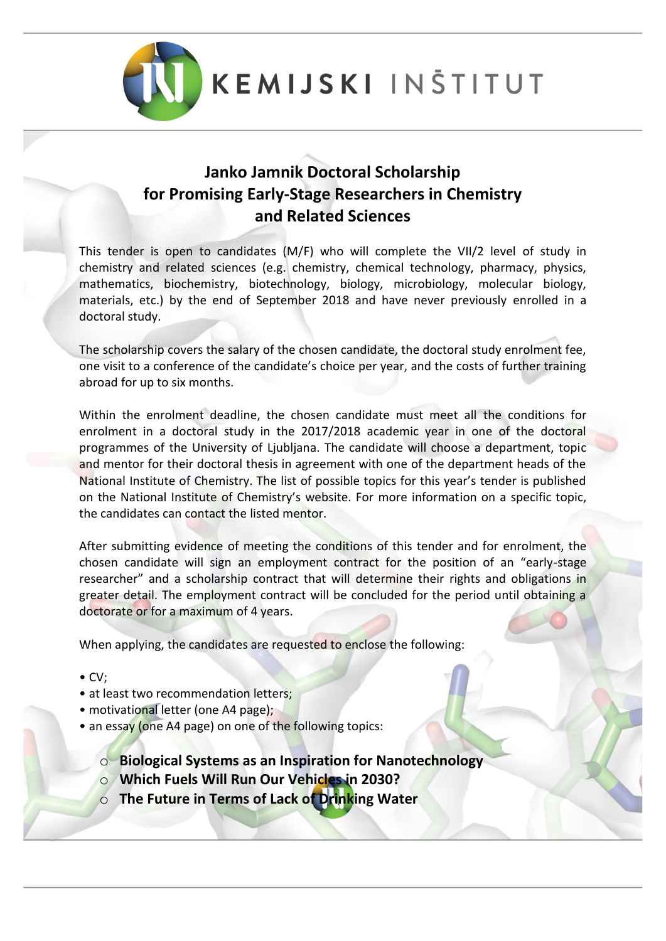

**KEMIJSKI INSTITUT** 

## **Janko Jamnik Doctoral Scholarship for Promising Early-Stage Researchers in Chemistry and Related Sciences**

This tender is open to candidates (M/F) who will complete the VII/2 level of study in chemistry and related sciences (e.g. chemistry, chemical technology, pharmacy, physics, mathematics, biochemistry, biotechnology, biology, microbiology, molecular biology, materials, etc.) by the end of September 2018 and have never previously enrolled in a doctoral study.

The scholarship covers the salary of the chosen candidate, the doctoral study enrolment fee, one visit to a conference of the candidate's choice per year, and the costs of further training abroad for up to six months.

Within the enrolment deadline, the chosen candidate must meet all the conditions for enrolment in a doctoral study in the 2017/2018 academic year in one of the doctoral programmes of the University of Ljubljana. The candidate will choose a department, topic and mentor for their doctoral thesis in agreement with one of the department heads of the National Institute of Chemistry. The list of possible topics for this year's tender is published on the National Institute of Chemistry's website. For more information on a specific topic, the candidates can contact the listed mentor.

After submitting evidence of meeting the conditions of this tender and for enrolment, the chosen candidate will sign an employment contract for the position of an "early-stage researcher" and a scholarship contract that will determine their rights and obligations in greater detail. The employment contract will be concluded for the period until obtaining a doctorate or for a maximum of 4 years.

When applying, the candidates are requested to enclose the following:

- CV;
- at least two recommendation letters;
- motivational letter (one A4 page);
- an essay (one A4 page) on one of the following topics:

o **Biological Systems as an Inspiration for Nanotechnology**

- o **Which Fuels Will Run Our Vehicles in 2030?**
- o **The Future in Terms of Lack of Drinking Water**